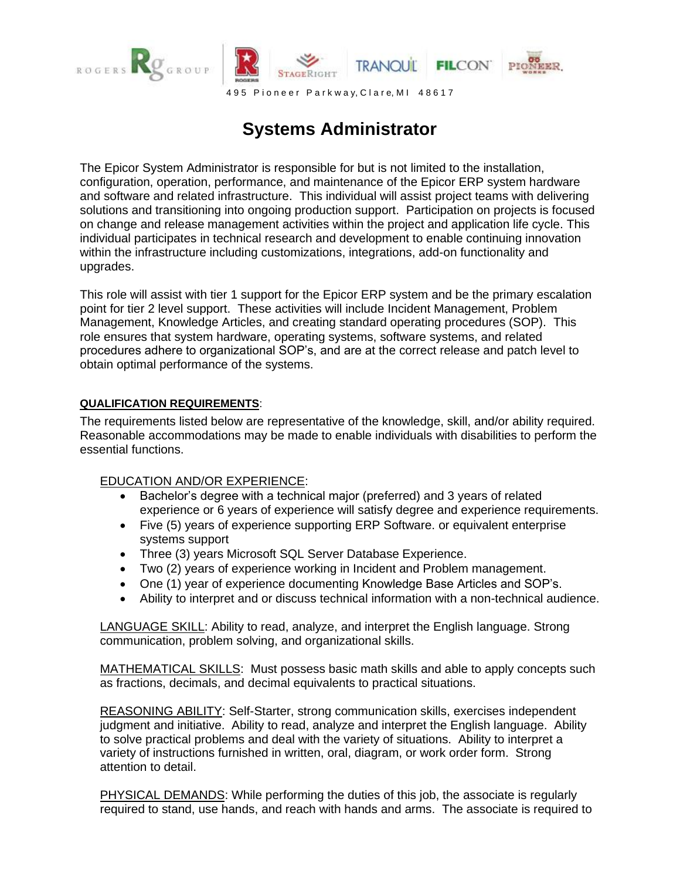

**Systems Administrator**

The Epicor System Administrator is responsible for but is not limited to the installation, configuration, operation, performance, and maintenance of the Epicor ERP system hardware and software and related infrastructure. This individual will assist project teams with delivering solutions and transitioning into ongoing production support. Participation on projects is focused on change and release management activities within the project and application life cycle. This individual participates in technical research and development to enable continuing innovation within the infrastructure including customizations, integrations, add-on functionality and upgrades.

This role will assist with tier 1 support for the Epicor ERP system and be the primary escalation point for tier 2 level support. These activities will include Incident Management, Problem Management, Knowledge Articles, and creating standard operating procedures (SOP). This role ensures that system hardware, operating systems, software systems, and related procedures adhere to organizational SOP's, and are at the correct release and patch level to obtain optimal performance of the systems.

## **QUALIFICATION REQUIREMENTS**:

The requirements listed below are representative of the knowledge, skill, and/or ability required. Reasonable accommodations may be made to enable individuals with disabilities to perform the essential functions.

## EDUCATION AND/OR EXPERIENCE:

- Bachelor's degree with a technical major (preferred) and 3 years of related experience or 6 years of experience will satisfy degree and experience requirements.
- Five (5) years of experience supporting ERP Software. or equivalent enterprise systems support
- Three (3) years Microsoft SQL Server Database Experience.
- Two (2) years of experience working in Incident and Problem management.
- One (1) year of experience documenting Knowledge Base Articles and SOP's.
- Ability to interpret and or discuss technical information with a non-technical audience.

LANGUAGE SKILL: Ability to read, analyze, and interpret the English language. Strong communication, problem solving, and organizational skills.

MATHEMATICAL SKILLS: Must possess basic math skills and able to apply concepts such as fractions, decimals, and decimal equivalents to practical situations.

REASONING ABILITY: Self-Starter, strong communication skills, exercises independent judgment and initiative. Ability to read, analyze and interpret the English language. Ability to solve practical problems and deal with the variety of situations. Ability to interpret a variety of instructions furnished in written, oral, diagram, or work order form. Strong attention to detail.

PHYSICAL DEMANDS: While performing the duties of this job, the associate is regularly required to stand, use hands, and reach with hands and arms. The associate is required to